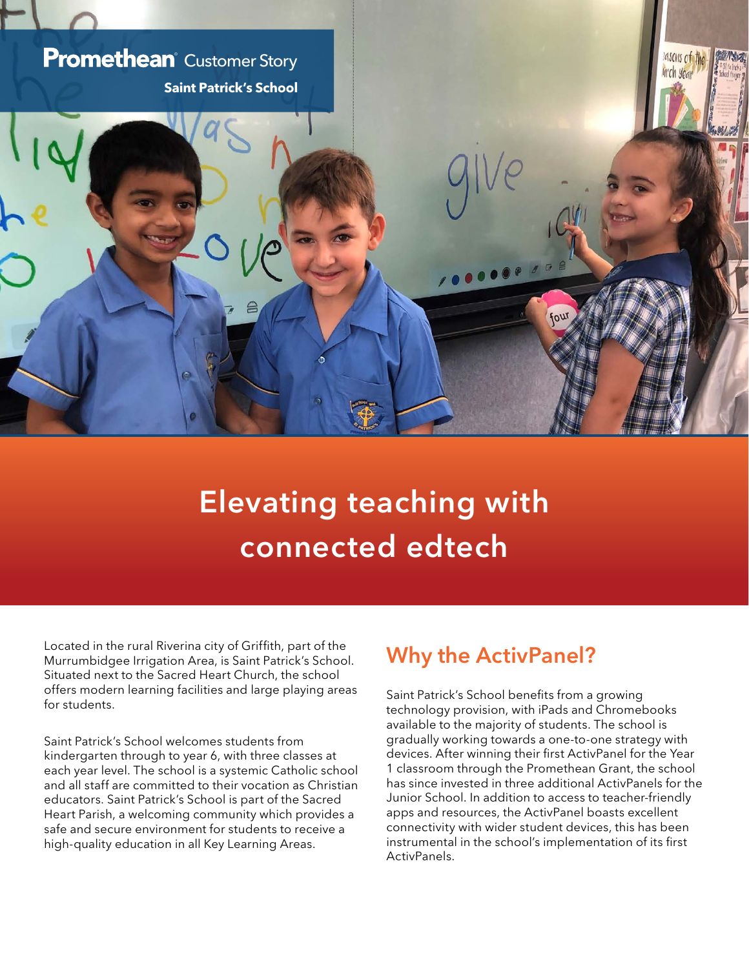

## **Elevating teaching with connected edtech**

Located in the rural Riverina city of Griffith, part of the Murrumbidgee Irrigation Area, is Saint Patrick's School. Situated next to the Sacred Heart Church, the school offers modern learning facilities and large playing areas for students.

Saint Patrick's School welcomes students from kindergarten through to year 6, with three classes at each year level. The school is a systemic Catholic school and all staff are committed to their vocation as Christian educators. Saint Patrick's School is part of the Sacred Heart Parish, a welcoming community which provides a safe and secure environment for students to receive a high-quality education in all Key Learning Areas.

## **Why the ActivPanel?**

Saint Patrick's School benefits from a growing technology provision, with iPads and Chromebooks available to the majority of students. The school is gradually working towards a one-to-one strategy with devices. After winning their first ActivPanel for the Year 1 classroom through the Promethean Grant, the school has since invested in three additional ActivPanels for the Junior School. In addition to access to teacher-friendly apps and resources, the ActivPanel boasts excellent connectivity with wider student devices, this has been instrumental in the school's implementation of its first ActivPanels.